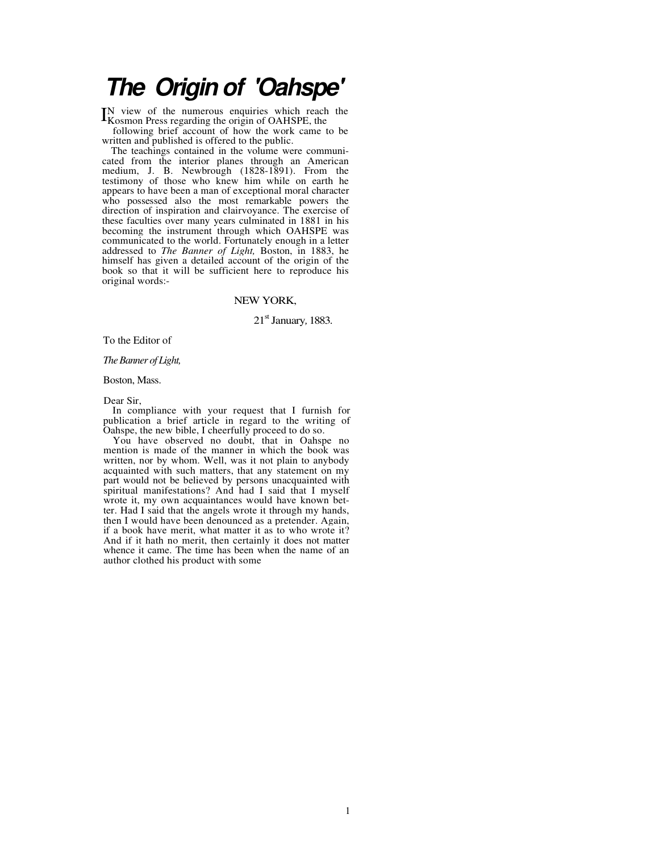# **The Origin of 'Oahspe'**

N view of the numerous enquiries which reach the IN view of the numerous enquiries which reach<br>Kosmon Press regarding the origin of OAHSPE, the

following brief account of how the work came to be written and published is offered to the public.

The teachings contained in the volume were communicated from the interior planes through an American medium, J. B. Newbrough (1828-1891). From the testimony of those who knew him while on earth he appears to have been a man of exceptional moral character who possessed also the most remarkable powers the direction of inspiration and clairvoyance. The exercise of these faculties over many years culminated in 1881 in his becoming the instrument through which OAHSPE was communicated to the world. Fortunately enough in a letter addressed to *The Banner of Light,* Boston, in 1883, he himself has given a detailed account of the origin of the book so that it will be sufficient here to reproduce his original words:-

# **NEW YORK,**

21st January*,* 1883.

#### To the Editor of

## *The Banner of Light,*

# Boston, Mass.

Dear Sir,

In compliance with your request that I furnish for publication a brief article in regard to the writing of Oahspe, the new bible, I cheerfully proceed to do so.

You have observed no doubt, that in Oahspe no mention is made of the manner in which the book was written, nor by whom. Well, was it not plain to anybody acquainted with such matters, that any statement on my part would not be believed by persons unacquainted with spiritual manifestations? And had I said that I myself wrote it, my own acquaintances would have known better. Had I said that the angels wrote it through my hands, then I would have been denounced as a pretender. Again, if a book have merit, what matter it as to who wrote it? And if it hath no merit, then certainly it does not matter whence it came. The time has been when the name of an author clothed his product with some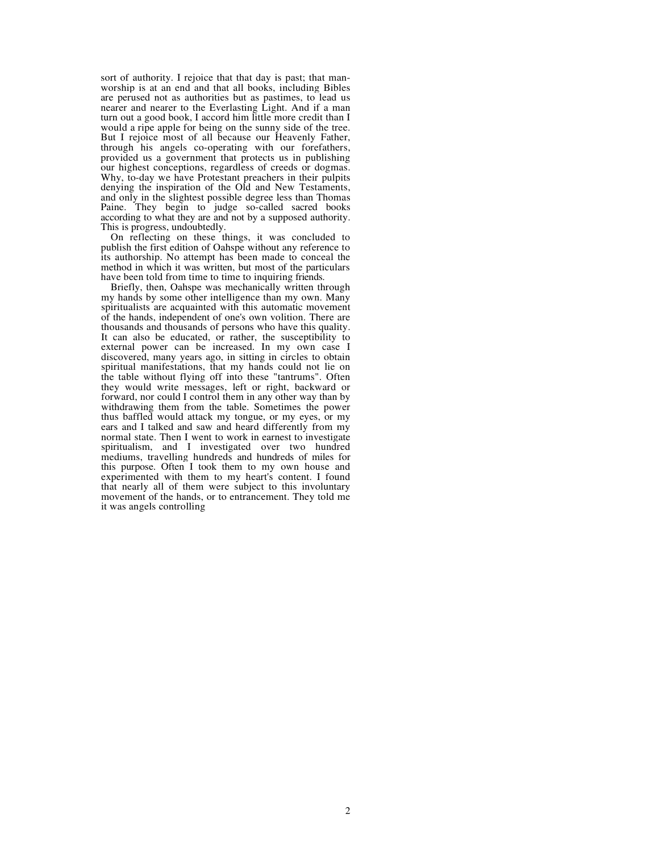sort of authority. I rejoice that that day is past; that manworship is at an end and that all books, including Bibles are perused not as authorities but as pastimes, to lead us nearer and nearer to the Everlasting Light. And if a man turn out a good book, I accord him little more credit than I would a ripe apple for being on the sunny side of the tree. But I rejoice most of all because our Heavenly Father, through his angels co-operating with our forefathers, provided us a government that protects us in publishing our highest conceptions, regardless of creeds or dogmas. Why, to-day we have Protestant preachers in their pulpits denying the inspiration of the Old and New Testaments, and only in the slightest possible degree less than Thomas Paine. They begin to judge so-called sacred books according to what they are and not by a supposed authority. This is progress, undoubtedly.

On reflecting on these things, it was concluded to publish the first edition of Oahspe without any reference to its authorship. No attempt has been made to conceal the method in which it was written, but most of the particulars have been told from time to time to inquiring friends.

Briefly, then, Oahspe was mechanically written through my hands by some other intelligence than my own. Many spiritualists are acquainted with this automatic movement of the hands, independent of one's own volition. There are thousands and thousands of persons who have this quality. It can also be educated, or rather, the susceptibility to external power can be increased. In my own case I discovered, many years ago, in sitting in circles to obtain spiritual manifestations, that my hands could not lie on the table without flying off into these "tantrums". Often they would write messages, left or right, backward or forward, nor could I control them in any other way than by withdrawing them from the table. Sometimes the power thus baffled would attack my tongue, or my eyes, or my ears and I talked and saw and heard differently from my normal state. Then I went to work in earnest to investigate spiritualism, and I investigated over two hundred mediums, travelling hundreds and hundreds of miles for this purpose. Often I took them to my own house and experimented with them to my heart's content. I found that nearly all of them were subject to this involuntary movement of the hands, or to entrancement. They told me it was angels controlling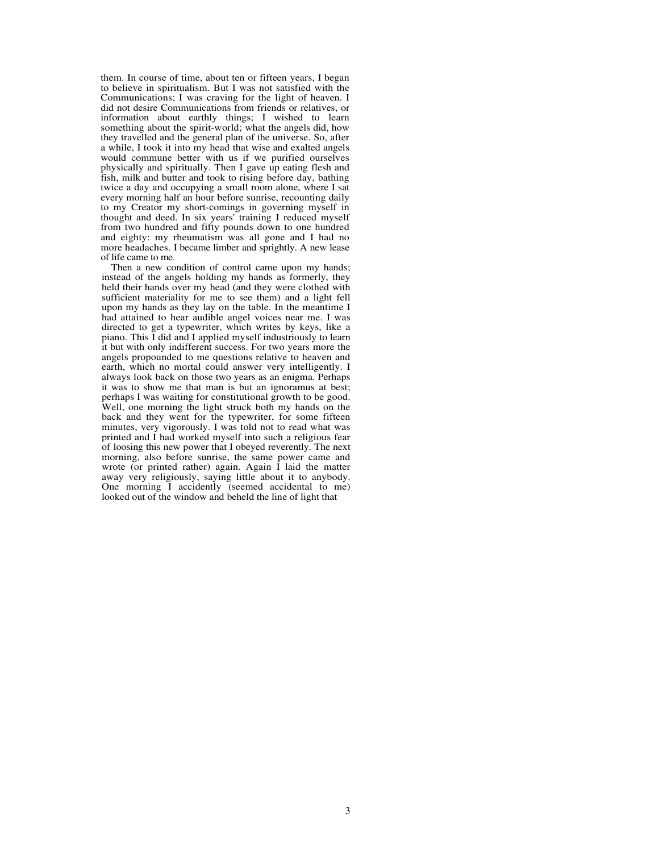them. In course of time, about ten or fifteen years, I began to believe in spiritualism. But I was not satisfied with the Communications; I was craving for the light of heaven. I did not desire Communications from friends or relatives, or information about earthly things; I wished to learn something about the spirit-world; what the angels did, how they travelled and the general plan of the universe. So, after a while, I took it into my head that wise and exalted angels would commune better with us if we purified ourselves physically and spiritually. Then I gave up eating flesh and fish, milk and butter and took to rising before day, bathing twice a day and occupying a small room alone, where I sat every morning half an hour before sunrise, recounting daily to my Creator my short-comings in governing myself in thought and deed. In six years' training I reduced myself from two hundred and fifty pounds down to one hundred and eighty: my rheumatism was all gone and I had no more headaches. I became limber and sprightly. A new lease of life came to me.

Then a new condition of control came upon my hands; instead of the angels holding my hands as formerly, they held their hands over my head (and they were clothed with sufficient materiality for me to see them) and a light fell upon my hands as they lay on the table. In the meantime I had attained to hear audible angel voices near me. I was directed to get a typewriter, which writes by keys, like a piano. This I did and I applied myself industriously to learn it but with only indifferent success. For two years more the angels propounded to me questions relative to heaven and earth, which no mortal could answer very intelligently. I always look back on those two years as an enigma. Perhaps it was to show me that man is but an ignoramus at best; perhaps I was waiting for constitutional growth to be good. Well, one morning the light struck both my hands on the back and they went for the typewriter, for some fifteen minutes, very vigorously. I was told not to read what was printed and I had worked myself into such a religious fear of loosing this new power that I obeyed reverently. The next morning, also before sunrise, the same power came and wrote (or printed rather) again. Again I laid the matter away very religiously, saying little about it to anybody. One morning I accidently (seemed accidental to me) looked out of the window and beheld the line of light that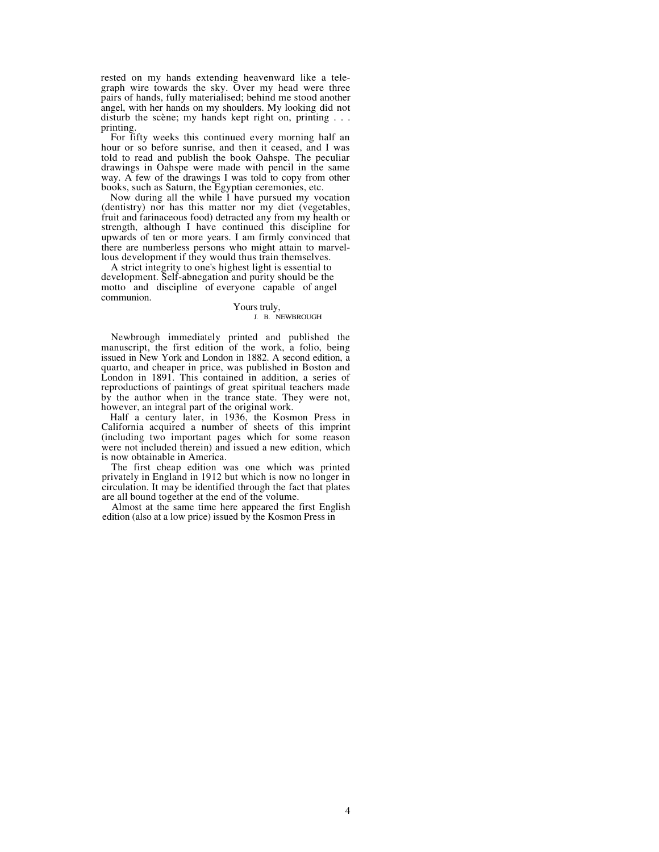rested on my hands extending heavenward like a telegraph wire towards the sky. Over my head were three pairs of hands, fully materialised; behind me stood another angel, with her hands on my shoulders. My looking did not disturb the scène; my hands kept right on, printing . . . printing.

For fifty weeks this continued every morning half an hour or so before sunrise, and then it ceased, and I was told to read and publish the book Oahspe. The peculiar drawings in Oahspe were made with pencil in the same way. A few of the drawings I was told to copy from other books, such as Saturn, the Egyptian ceremonies, etc.

Now during all the while I have pursued my vocation (dentistry) nor has this matter nor my diet (vegetables, fruit and farinaceous food) detracted any from my health or strength, although I have continued this discipline for upwards of ten or more years. I am firmly convinced that there are numberless persons who might attain to marvellous development if they would thus train themselves.

A strict integrity to one's highest light is essential to development. Self-abnegation and purity should be the motto and discipline of everyone capable of angel communion.

### Yours truly, J. B. NEWBROUGH

Newbrough immediately printed and published the manuscript, the first edition of the work, a folio, being issued in New York and London in 1882. A second edition, a quarto, and cheaper in price, was published in Boston and London in 1891. This contained in addition, a series of reproductions of paintings of great spiritual teachers made by the author when in the trance state. They were not, however, an integral part of the original work.

Half a century later, in 1936, the Kosmon Press in California acquired a number of sheets of this imprint (including two important pages which for some reason were not included therein) and issued a new edition, which is now obtainable in America.

The first cheap edition was one which was printed privately in England in 1912 but which is now no longer in circulation. It may be identified through the fact that plates are all bound together at the end of the volume.

Almost at the same time here appeared the first English edition (also at a low price) issued by the Kosmon Press in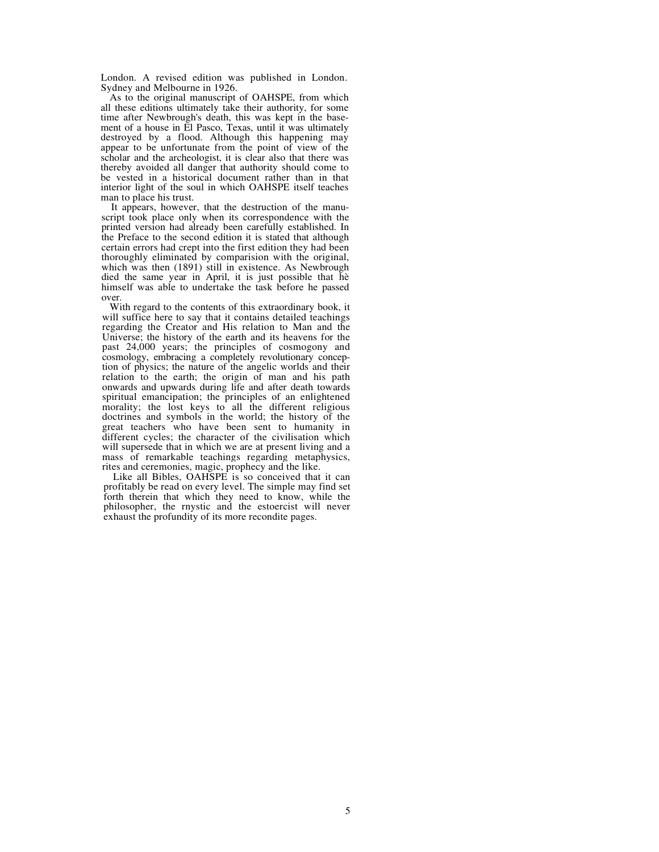London. A revised edition was published in London. Sydney and Melbourne in 1926.

As to the original manuscript of OAHSPE, from which all these editions ultimately take their authority, for some time after Newbrough's death, this was kept in the basement of a house in El Pasco, Texas, until it was ultimately destroyed by a flood. Although this happening may appear to be unfortunate from the point of view of the scholar and the archeologist, it is clear also that there was thereby avoided all danger that authority should come to be vested in a historical document rather than in that interior light of the soul in which OAHSPE itself teaches man to place his trust.

It appears, however, that the destruction of the manuscript took place only when its correspondence with the printed version had already been carefully established. In the Preface to the second edition it is stated that although certain errors had crept into the first edition they had been thoroughly eliminated by comparision with the original, which was then (1891) still in existence. As Newbrough died the same year in April, it is just possible that hè himself was able to undertake the task before he passed over.

With regard to the contents of this extraordinary book, it will suffice here to say that it contains detailed teachings regarding the Creator and His relation to Man and the Universe; the history of the earth and its heavens for the past 24,000 years; the principles of cosmogony and cosmology, embracing a completely revolutionary conception of physics; the nature of the angelic worlds and their relation to the earth; the origin of man and his path onwards and upwards during life and after death towards spiritual emancipation; the principles of an enlightened morality; the lost keys to all the different religious doctrines and symbols in the world; the history of the great teachers who have been sent to humanity in different cycles; the character of the civilisation which will supersede that in which we are at present living and a mass of remarkable teachings regarding metaphysics, rites and ceremonies, magic, prophecy and the like.

Like all Bibles, OAHSPE is so conceived that it can profitably be read on every level. The simple may find set forth therein that which they need to know, while the philosopher, the rnystic and the estoercist will never exhaust the profundity of its more recondite pages.